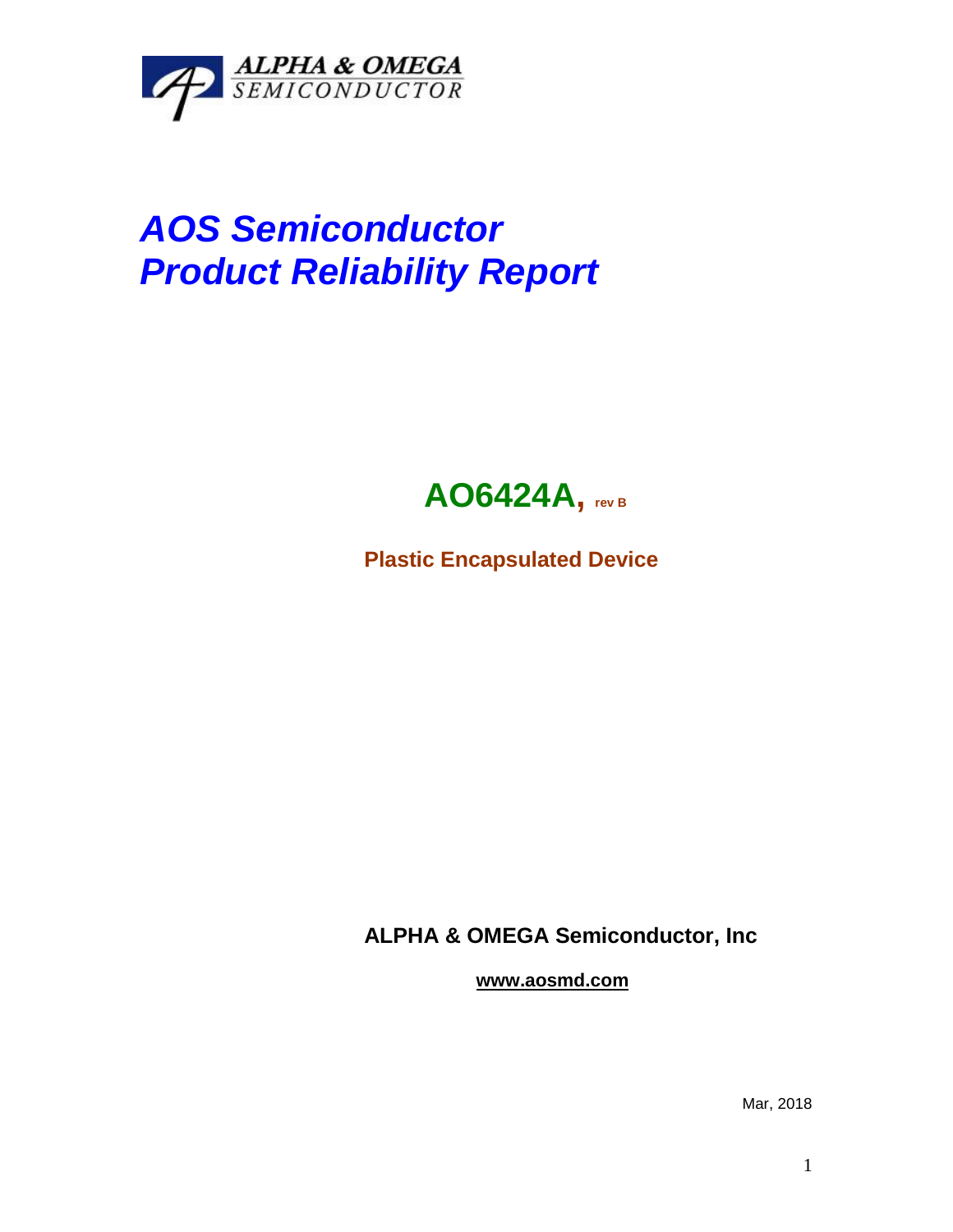

## *AOS Semiconductor Product Reliability Report*



**Plastic Encapsulated Device**

**ALPHA & OMEGA Semiconductor, Inc**

**www.aosmd.com**

Mar, 2018